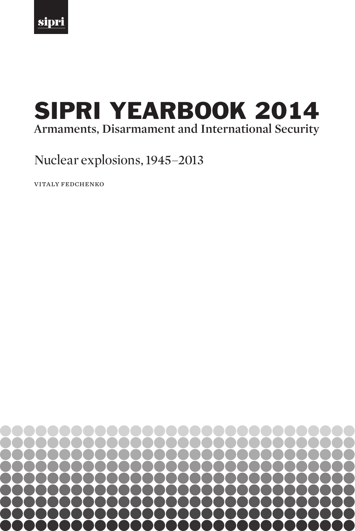

# **Armaments, Disarmament and International Security** SIPRI YEARBOOK 2014

## Nuclear explosions, 1945–2013

VITALY FEDCHENKO

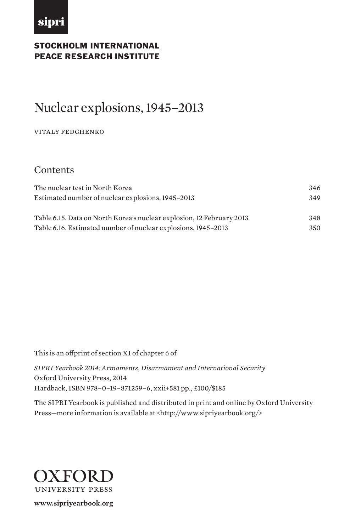

## Stockholm International PEACE RESEARCH INSTITUTE

## Nuclear explosions, 1945–2013

#### VITALY FEDCHENKO

## **Contents**

| The nuclear test in North Korea                                       | 346 |
|-----------------------------------------------------------------------|-----|
| Estimated number of nuclear explosions, 1945–2013                     | 349 |
|                                                                       |     |
| Table 6.15. Data on North Korea's nuclear explosion, 12 February 2013 | 348 |
| Table 6.16. Estimated number of nuclear explosions, 1945–2013         | 350 |

This is an offprint of section XI of chapter 6 of

*SIPRI Yearbook 2014: Armaments, Disarmament and International Security*  Oxford University Press, 2014 Hardback, ISBN 978–0–19–871259–6, xxii+581 pp., £100/\$185

The SIPRI Yearbook is published and distributed in print and online by Oxford University Press—more information is available at <http://www.sipriyearbook.org/>



**www.sipriyearbook.org**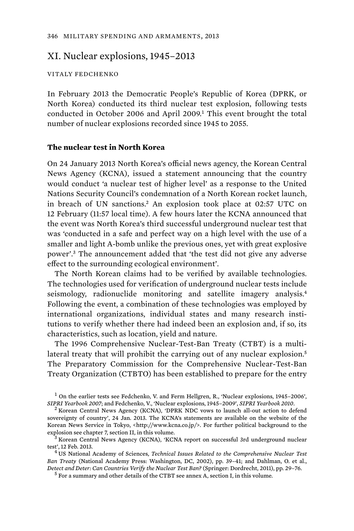### XI. Nuclear explosions, 1945–2013

#### VITALY FEDCHENKO

In February 2013 the Democratic People's Republic of Korea (DPRK, or North Korea) conducted its third nuclear test explosion, following tests conducted in October 2006 and April 2009.<sup>1</sup> This event brought the total number of nuclear explosions recorded since 1945 to 2055.

#### **The nuclear test in North Korea**

On 24 January 2013 North Korea's official news agency, the Korean Central News Agency (KCNA), issued a statement announcing that the country would conduct 'a nuclear test of higher level' as a response to the United Nations Security Council's condemnation of a North Korean rocket launch, in breach of UN sanctions.<sup>2</sup> An explosion took place at 02:57 UTC on 12 February (11:57 local time). A few hours later the KCNA announced that the event was North Korea's third successful underground nuclear test that was 'conducted in a safe and perfect way on a high level with the use of a smaller and light A-bomb unlike the previous ones, yet with great explosive power'.<sup>3</sup> The announcement added that 'the test did not give any adverse effect to the surrounding ecological environment'.

The North Korean claims had to be verified by available technologies. The technologies used for verification of underground nuclear tests include seismology, radionuclide monitoring and satellite imagery analysis.<sup>4</sup> Following the event, a combination of these technologies was employed by international organizations, individual states and many research institutions to verify whether there had indeed been an explosion and, if so, its characteristics, such as location, yield and nature.

The 1996 Comprehensive Nuclear-Test-Ban Treaty (CTBT) is a multilateral treaty that will prohibit the carrying out of any nuclear explosion.<sup>5</sup> The Preparatory Commission for the Comprehensive Nuclear-Test-Ban Treaty Organization (CTBTO) has been established to prepare for the entry

<sup>&</sup>lt;sup>1</sup> On the earlier tests see Fedchenko, V. and Ferm Hellgren, R., 'Nuclear explosions, 1945-2006', *SIPRI Yearbook 2007*; and Fedchenko, V., 'Nuclear explosions, 1945–2009', *SIPRI Yearbook 2010*. <sup>2</sup>

 $<sup>2</sup>$  Korean Central News Agency (KCNA), 'DPRK NDC vows to launch all-out action to defend</sup> sovereignty of country', 24 Jan. 2013. The KCNA's statements are available on the website of the Korean News Service in Tokyo, <http://www.kcna.co.jp/>. For further political background to the explosion see chapter 7, section II, in this volume.

<sup>&</sup>lt;sup>3</sup> Korean Central News Agency (KCNA), 'KCNA report on successful 3rd underground nuclear test', 12 Feb. 2013. <sup>4</sup>

US National Academy of Sciences, *Technical Issues Related to the Comprehensive Nuclear Test Ban Treaty* (National Academy Press: Washington, DC, 2002), pp. 39–41; and Dahlman, O. et al., *Detect and Deter: Can Countries Verify the Nuclear Test Ban?* (Springer: Dordrecht, 2011), pp. 29–76. <sup>5</sup>

 $5$  For a summary and other details of the CTBT see annex A, section I, in this volume.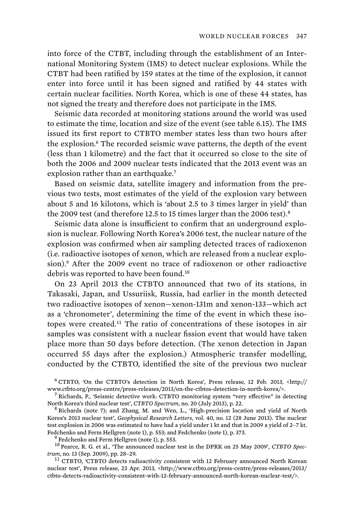into force of the CTBT, including through the establishment of an International Monitoring System (IMS) to detect nuclear explosions. While the CTBT had been ratified by 159 states at the time of the explosion, it cannot enter into force until it has been signed and ratified by 44 states with certain nuclear facilities. North Korea, which is one of these 44 states, has not signed the treaty and therefore does not participate in the IMS.

Seismic data recorded at monitoring stations around the world was used to estimate the time, location and size of the event (see table 6.15). The IMS issued its first report to CTBTO member states less than two hours after the explosion.<sup>6</sup> The recorded seismic wave patterns, the depth of the event (less than 1 kilometre) and the fact that it occurred so close to the site of both the 2006 and 2009 nuclear tests indicated that the 2013 event was an explosion rather than an earthquake.<sup>7</sup>

Based on seismic data, satellite imagery and information from the previous two tests, most estimates of the yield of the explosion vary between about 5 and 16 kilotons, which is 'about 2.5 to 3 times larger in yield' than the 2009 test (and therefore 12.5 to 15 times larger than the 2006 test).<sup>8</sup>

Seismic data alone is insufficient to confirm that an underground explosion is nuclear. Following North Korea's 2006 test, the nuclear nature of the explosion was confirmed when air sampling detected traces of radioxenon (i.e. radioactive isotopes of xenon, which are released from a nuclear explosion).<sup>9</sup> After the 2009 event no trace of radioxenon or other radioactive debris was reported to have been found.<sup>10</sup>

On 23 April 2013 the CTBTO announced that two of its stations, in Takasaki, Japan, and Ussuriisk, Russia, had earlier in the month detected two radioactive isotopes of xenon—xenon-131m and xenon-133—which act as a 'chronometer', determining the time of the event in which these isotopes were created.<sup>11</sup> The ratio of concentrations of these isotopes in air samples was consistent with a nuclear fission event that would have taken place more than 50 days before detection. (The xenon detection in Japan occurred 55 days after the explosion.) Atmospheric transfer modelling, conducted by the CTBTO, identified the site of the previous two nuclear

6 CTBTO, 'On the CTBTO's detection in North Korea', Press release, 12 Feb. 2013, <http:// www.ctbto.org/press-centre/press-releases/2013/on-the-ctbtos-detection-in-north-korea/>. <sup>7</sup>

<sup>7</sup> Richards, P., 'Seismic detective work: CTBTO monitoring system "very effective" in detecting North Korea's third nuclear test', *CTBTO Spectrum*, no. 20 (July 2013), p. 22. <sup>8</sup>

 $8$  Richards (note 7); and Zhang, M. and Wen, L., 'High-precision location and yield of North Korea's 2013 nuclear test', *Geophysical Research Letters*, vol. 40, no. 12 (28 June 2013). The nuclear test explosion in 2006 was estimated to have had a yield under 1 kt and that in 2009 a yield of 2–7 kt. Fedchenko and Ferm Hellgren (note 1), p. 553; and Fedchenko (note 1), p. 373.

 $<sup>9</sup>$  Fedchenko and Ferm Hellgren (note 1), p. 553.</sup>

<sup>10</sup> Pearce, R. G. et al., 'The announced nuclear test in the DPRK on 25 May 2009', *CTBTO Spectrum*, no. 13 (Sep. 2009), pp. 28–29.<br><sup>11</sup> CTBTO, 'CTBTO detects radioactivity consistent with 12 February announced North Korean

nuclear test', Press release, 23 Apr. 2013, <http://www.ctbto.org/press-centre/press-releases/2013/ ctbto-detects-radioactivity-consistent-with-12-february-announced-north-korean-nuclear-test/>.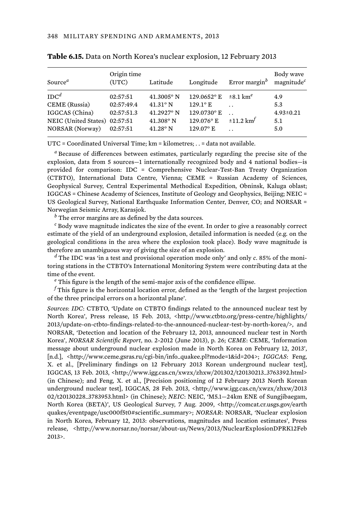| Source <sup><i>a</i></sup>                                                                                     | Origin time<br>(UTC)                             | Latitude                                                                           | Longitude                                                                            | Error margin $^b$                                    | Body wave<br>magnitude <sup>c</sup>         |
|----------------------------------------------------------------------------------------------------------------|--------------------------------------------------|------------------------------------------------------------------------------------|--------------------------------------------------------------------------------------|------------------------------------------------------|---------------------------------------------|
| IDC <sup>d</sup><br>CEME (Russia)<br>IGGCAS (China)<br>NEIC (United States) 02:57:51<br><b>NORSAR</b> (Norway) | 02:57:51<br>02:57:49.4<br>02:57:51.3<br>02:57:51 | $41.3005$ °N<br>$41.31^{\circ}$ N<br>41.2927° N<br>$41.308$ ° N<br>$41.28^\circ$ N | $129.0652$ °E<br>$129.1^{\circ}$ E<br>129.0730°E<br>129.076° E<br>$129.07^{\circ}$ E | $\pm 8.1 \text{ km}^e$<br>$\pm 11.2$ km <sup>t</sup> | 4.9<br>5.3<br>$4.93 \pm 0.21$<br>5.1<br>5.0 |

|  |  |  | Table 6.15. Data on North Korea's nuclear explosion, 12 February 2013 |  |
|--|--|--|-----------------------------------------------------------------------|--|
|  |  |  |                                                                       |  |

UTC = Coordinated Universal Time; km = kilometres; . . = data not available.

*a* Because of differences between estimates, particularly regarding the precise site of the explosion, data from 5 sources—1 internationally recognized body and 4 national bodies—is provided for comparison: IDC = Comprehensive Nuclear-Test-Ban Treaty Organization (CTBTO), International Data Centre, Vienna; CEME = Russian Academy of Sciences, Geophysical Survey, Central Experimental Methodical Expedition, Obninsk, Kaluga oblast; IGGCAS = Chinese Academy of Sciences, Institute of Geology and Geophysics, Beijing; NEIC = US Geological Survey, National Earthquake Information Center, Denver, CO; and NORSAR = Norwegian Seismic Array, Karasjok.

*b* The error margins are as defined by the data sources.

*c* Body wave magnitude indicates the size of the event. In order to give a reasonably correct estimate of the yield of an underground explosion, detailed information is needed (e.g. on the geological conditions in the area where the explosion took place). Body wave magnitude is therefore an unambiguous way of giving the size of an explosion.

*d* The IDC was 'in a test and provisional operation mode only' and only *c*. 85% of the monitoring stations in the CTBTO's International Monitoring System were contributing data at the time of the event.

*e* This figure is the length of the semi-major axis of the confidence ellipse.

*f* This figure is the horizontal location error, defined as the 'length of the largest projection of the three principal errors on a horizontal plane'.

*Sources*: *IDC*: CTBTO, 'Update on CTBTO findings related to the announced nuclear test by North Korea', Press release, 15 Feb. 2013, <http://www.ctbto.org/press-centre/highlights/ 2013/update-on-ctbto-findings-related-to-the-announced-nuclear-test-by-north-korea/>, and NORSAR, 'Detection and location of the February 12, 2013, announced nuclear test in North Korea', *NORSAR Scientific Report*, no. 2-2012 (June 2013), p. 26; *CEME*: CEME, 'Information message about underground nuclear explosion made in North Korea on February 12, 2013', [n.d.], <http://www.ceme.gsras.ru/cgi-bin/info\_quakee.pl?mode=1&id=204>; *IGGCAS*: Feng, X. et al., [Preliminary findings on 12 February 2013 Korean underground nuclear test], IGGCAS, 13 Feb. 2013, <http://www.igg.cas.cn/xwzx/zhxw/201302/t20130213\_3763392.html> (in Chinese); and Feng, X. et al., [Precision positioning of 12 February 2013 North Korean underground nuclear test], IGGCAS, 28 Feb. 2013, <http://www.igg.cas.cn/xwzx/zhxw/2013 02/t20130228\_3783953.html> (in Chinese); *NEIC*: NEIC, 'M5.1—24km ENE of Sungjibaegam, North Korea (BETA)', US Geological Survey, 7 Aug. 2009, <http://comcat.cr.usgs.gov/earth quakes/eventpage/usc000f5t0#scientific\_summary>; *NORSAR*: NORSAR, 'Nuclear explosion in North Korea, February 12, 2013: observations, magnitudes and location estimates', Press release, <http://www.norsar.no/norsar/about-us/News/2013/NuclearExplosionDPRK12Feb 2013>.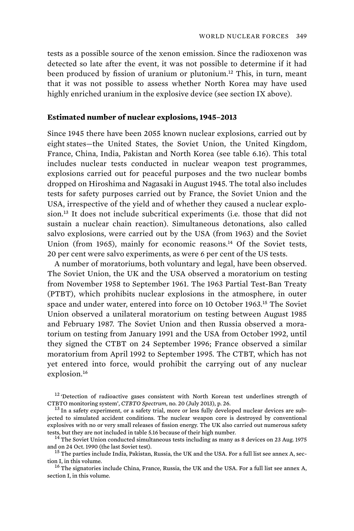tests as a possible source of the xenon emission. Since the radioxenon was detected so late after the event, it was not possible to determine if it had been produced by fission of uranium or plutonium.<sup>12</sup> This, in turn, meant that it was not possible to assess whether North Korea may have used highly enriched uranium in the explosive device (see section IX above).

#### **Estimated number of nuclear explosions, 1945–2013**

Since 1945 there have been 2055 known nuclear explosions, carried out by eight states— the United States, the Soviet Union, the United Kingdom, France, China, India, Pakistan and North Korea (see table 6.16). This total includes nuclear tests conducted in nuclear weapon test programmes, explosions carried out for peaceful purposes and the two nuclear bombs dropped on Hiroshima and Nagasaki in August 1945. The total also includes tests for safety purposes carried out by France, the Soviet Union and the USA, irrespective of the yield and of whether they caused a nuclear explosion.<sup>13</sup> It does not include subcritical experiments (i.e. those that did not sustain a nuclear chain reaction). Simultaneous detonations, also called salvo explosions, were carried out by the USA (from 1963) and the Soviet Union (from 1965), mainly for economic reasons. $^{14}$  Of the Soviet tests, 20 per cent were salvo experiments, as were 6 per cent of the US tests.

A number of moratoriums, both voluntary and legal, have been observed. The Soviet Union, the UK and the USA observed a moratorium on testing from November 1958 to September 1961. The 1963 Partial Test-Ban Treaty (PTBT), which prohibits nuclear explosions in the atmosphere, in outer space and under water, entered into force on 10 October 1963.<sup>15</sup> The Soviet Union observed a unilateral moratorium on testing between August 1985 and February 1987. The Soviet Union and then Russia observed a moratorium on testing from January 1991 and the USA from October 1992, until they signed the CTBT on 24 September 1996; France observed a similar moratorium from April 1992 to September 1995. The CTBT, which has not yet entered into force, would prohibit the carrying out of any nuclear explosion.<sup>16</sup>

<sup>&</sup>lt;sup>12</sup> Detection of radioactive gases consistent with North Korean test underlines strength of CTBTO monitoring system', CTBTO Spectrum, no. 20 (July 2013), p. 26.

<sup>&</sup>lt;sup>13</sup> In a safety experiment, or a safety trial, more or less fully developed nuclear devices are subjected to simulated accident conditions. The nuclear weapon core is destroyed by conventional explosives with no or very small releases of fission energy. The UK also carried out numerous safety

tests, but they are not included in table 5.16 because of their high number.<br><sup>14</sup> The Soviet Union conducted simultaneous tests including as many as 8 devices on 23 Aug. 1975<br>and on 24 Oct. 1990 (the last Soviet test).

<sup>&</sup>lt;sup>15</sup> The parties include India, Pakistan, Russia, the UK and the USA. For a full list see annex A, section I, in this volume.<br><sup>16</sup> The signatories include China, France, Russia, the UK and the USA. For a full list see annex A,

section I, in this volume.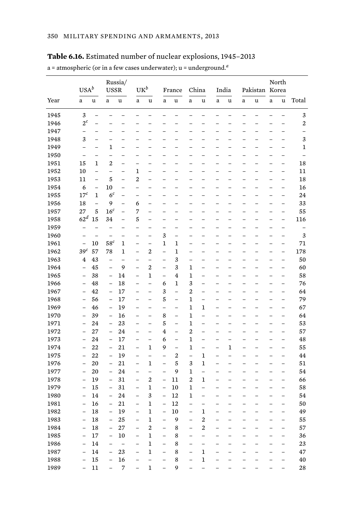a = atmospheric (or in a few cases underwater); u = underground.*<sup>a</sup>*

|      | $USA^b$                  |                          | Russia/<br><b>USSR</b>                     |                          |                          | $\mathrm{UK}^b$          |                          | France                   | China                                      |                          | India                    |                                            | Pakistan Korea                 |                               | North                    |                          |                          |
|------|--------------------------|--------------------------|--------------------------------------------|--------------------------|--------------------------|--------------------------|--------------------------|--------------------------|--------------------------------------------|--------------------------|--------------------------|--------------------------------------------|--------------------------------|-------------------------------|--------------------------|--------------------------|--------------------------|
| Year | $\rm{a}$                 | u                        | $\rm{a}$                                   | $\mathbf u$              | a                        | u                        | $\rm{a}$                 | u                        | $\mathbf{a}$                               | u                        | a                        | u                                          | $\mathbf{a}$                   | u                             | $\mathbf{a}$             | u                        | Total                    |
| 1945 | 3                        | $\overline{\phantom{0}}$ |                                            |                          | L                        | $\overline{\phantom{0}}$ |                          | $\overline{\phantom{0}}$ | $\overline{\phantom{0}}$                   |                          |                          |                                            |                                | L                             | $\overline{\phantom{0}}$ | -                        | 3                        |
| 1946 | $2^c$                    | $\equiv$                 | $\equiv$                                   | $\overline{\phantom{0}}$ | $\overline{\phantom{0}}$ | $\overline{\phantom{0}}$ | $\equiv$                 | L.                       | $\overline{\phantom{0}}$                   | L.                       |                          | $\overline{\phantom{0}}$                   | $\overline{\phantom{0}}$       | $\overline{\phantom{0}}$      | L.                       | L,                       | 2                        |
| 1947 | -                        |                          |                                            |                          |                          |                          |                          |                          |                                            |                          |                          |                                            |                                |                               |                          | L                        | $\overline{a}$           |
| 1948 | 3                        | $\equiv$                 | -                                          | $\overline{\phantom{0}}$ | -                        | $\overline{\phantom{0}}$ | -                        | -                        | -                                          | $\overline{\phantom{0}}$ |                          | $\overline{\phantom{0}}$                   | $\overline{a}$                 | $\overline{\phantom{0}}$      | -                        | $\overline{a}$           | 3                        |
| 1949 |                          |                          | 1                                          |                          |                          |                          |                          |                          |                                            |                          |                          |                                            |                                |                               | -                        | L,                       | 1                        |
| 1950 | $\overline{\phantom{0}}$ | $\overline{\phantom{0}}$ | $\overline{a}$                             | ÷                        | -                        | $\overline{\phantom{0}}$ | $\overline{a}$           | $\overline{\phantom{0}}$ | -                                          | $\overline{\phantom{0}}$ |                          | $\overline{\phantom{0}}$                   | ÷                              | L,                            | -                        | -                        | $\overline{\phantom{0}}$ |
| 1951 | 15                       | $\mathbf{1}$             | $\overline{2}$                             |                          | -                        |                          |                          |                          |                                            |                          |                          |                                            |                                |                               |                          | -                        | 18                       |
| 1952 | 10                       | $\overline{a}$           | $\overline{a}$                             | $\overline{\phantom{0}}$ | 1                        | -                        | $\overline{a}$           | $\overline{\phantom{0}}$ | $\overline{a}$                             |                          |                          | $\overline{a}$                             | $\overline{\phantom{0}}$       | L                             | $\overline{\phantom{0}}$ | $\overline{\phantom{0}}$ | 11                       |
| 1953 | 11                       | $\overline{\phantom{0}}$ | 5                                          | $\overline{\phantom{0}}$ | $\overline{2}$           | $\overline{\phantom{0}}$ |                          |                          |                                            |                          |                          |                                            |                                |                               | -                        | -                        | 18                       |
| 1954 | 6                        | $\qquad \qquad -$        | 10                                         | $\overline{a}$           | -                        | -                        | $\overline{a}$           | $\overline{\phantom{0}}$ | $\overline{a}$                             |                          |                          | $\equiv$                                   | $\overline{\phantom{0}}$       | -                             | $\overline{a}$           | $\overline{\phantom{0}}$ | 16                       |
| 1955 | 17 <sup>c</sup>          | $\mathbf{1}$             | 6 <sup>c</sup>                             | $\overline{\phantom{0}}$ | -                        | -                        |                          |                          |                                            |                          |                          |                                            |                                | -                             | -                        | -                        | 24                       |
| 1956 | 18                       | $\overline{a}$           | 9                                          | $\overline{\phantom{0}}$ | 6                        | -                        | $\overline{\phantom{0}}$ | $\overline{\phantom{0}}$ | $\overline{a}$                             |                          |                          | -                                          | $\overline{\phantom{0}}$       | $\overline{\phantom{0}}$      | $\overline{a}$           | $\overline{\phantom{0}}$ | 33                       |
| 1957 | 27                       | 5                        | 16 <sup>c</sup>                            | $\overline{\phantom{0}}$ | 7                        | $\overline{\phantom{0}}$ | -                        | $\overline{\phantom{0}}$ | $\overline{\phantom{0}}$                   |                          |                          | $\overline{\phantom{0}}$                   | -                              | $\overline{\phantom{0}}$      | $\overline{\phantom{0}}$ | $\overline{\phantom{0}}$ | 55                       |
| 1958 | 62 <sup>d</sup>          | 15                       | 34                                         | $\overline{\phantom{0}}$ | 5                        | $\overline{\phantom{0}}$ | $\overline{\phantom{0}}$ | $\overline{\phantom{0}}$ | $\overline{a}$                             | $\overline{\phantom{0}}$ | $\overline{\phantom{0}}$ | $\overline{\phantom{0}}$                   | $\overline{\phantom{0}}$       | $\overline{\phantom{0}}$      | $\overline{a}$           | $\overline{\phantom{0}}$ | 116                      |
| 1959 |                          |                          | $\overline{\phantom{0}}$                   | -                        | -                        | -                        | -                        | -                        |                                            |                          |                          | $\overline{\phantom{0}}$                   | -                              | -                             | $\overline{\phantom{0}}$ | -                        |                          |
| 1960 | $\overline{\phantom{0}}$ | $\equiv$                 | $\overline{a}$                             | ÷                        | $\overline{\phantom{0}}$ | ÷,                       | 3                        | $\overline{a}$           | $\overline{\phantom{0}}$                   | $\overline{\phantom{0}}$ | $\overline{\phantom{0}}$ | $\equiv$                                   | ÷                              | $\overline{\phantom{0}}$      | $\overline{\phantom{0}}$ | L,                       | 3                        |
| 1961 | $\overline{\phantom{0}}$ | 10                       | 58 <sup>c</sup>                            | 1                        | $\overline{\phantom{0}}$ | $\overline{\phantom{0}}$ | $\mathbf{1}$             | 1                        | $\overline{\phantom{0}}$                   |                          |                          | $\overline{\phantom{0}}$                   | -                              | $\overline{\phantom{0}}$      | $\overline{\phantom{0}}$ | $\overline{\phantom{0}}$ | 71                       |
| 1962 | 39 <sup>c</sup>          | 57                       | 78                                         | 1                        | $\overline{\phantom{0}}$ | 2                        | ÷,                       | $\mathbf{1}$             | $\overline{a}$                             | $\overline{\phantom{0}}$ | $\overline{\phantom{0}}$ | $\equiv$                                   | $\overline{\phantom{0}}$       | $\overline{\phantom{0}}$      | $\overline{a}$           | $\overline{\phantom{0}}$ | 178                      |
| 1963 | 4                        | 43                       | $\overline{\phantom{0}}$                   | $\overline{\phantom{0}}$ | L,                       | $\overline{\phantom{0}}$ | $\overline{\phantom{0}}$ | 3                        | $\overline{\phantom{0}}$                   |                          |                          | ۳                                          | $\overline{\phantom{0}}$       | $\overline{\phantom{0}}$      | -                        | $\overline{\phantom{0}}$ | 50                       |
| 1964 | $\overline{\phantom{0}}$ | 45                       | $\overline{a}$                             | 9                        | $\overline{a}$           | 2                        | $\overline{a}$           | 3                        | 1                                          | $\overline{\phantom{0}}$ | $\overline{\phantom{0}}$ | $\equiv$                                   | $\overline{\phantom{0}}$       | $\overline{\phantom{0}}$      | $\overline{\phantom{0}}$ | $\overline{a}$           | 60                       |
| 1965 | -                        | 38                       | $\overline{\phantom{0}}$                   | 14                       | $\overline{\phantom{0}}$ | 1                        | $\overline{\phantom{0}}$ | $\overline{4}$           | 1                                          |                          |                          | $\overline{\phantom{0}}$                   | $\overline{\phantom{0}}$       | $\overline{\phantom{0}}$      | -                        | $\overline{\phantom{0}}$ | 58                       |
| 1966 | $\overline{\phantom{0}}$ | 48                       | $\equiv$                                   | 18                       | $\equiv$                 | $\overline{a}$           | 6                        | $\mathbf{1}$             | 3                                          | $\overline{\phantom{0}}$ | $\overline{\phantom{0}}$ | $\equiv$                                   | $\overline{\phantom{0}}$       | $\equiv$                      | $\overline{\phantom{0}}$ | $\equiv$                 | 76                       |
| 1967 | -                        | 42                       | $\overline{\phantom{0}}$                   | 17                       | -                        | $\overline{\phantom{0}}$ | 3                        | $\overline{\phantom{0}}$ | 2                                          |                          |                          | -                                          | $\overline{\phantom{0}}$       | $\overline{\phantom{0}}$      | -                        | $\overline{\phantom{0}}$ | 64                       |
| 1968 | $\overline{\phantom{0}}$ | 56                       | $\overline{\phantom{a}}$                   | 17                       | $\equiv$                 | $\equiv$                 | 5                        | $\equiv$                 | $\mathbf{1}$                               | $\overline{\phantom{0}}$ | $\overline{\phantom{0}}$ | $\equiv$                                   | $\overline{\phantom{0}}$       | $\equiv$                      | $\overline{\phantom{0}}$ | $\equiv$                 | 79                       |
| 1969 | $\overline{\phantom{0}}$ | 46                       | $\overline{a}$                             | 19                       | -                        | $\overline{\phantom{0}}$ | $\overline{a}$           | $\overline{\phantom{0}}$ | 1                                          | 1                        |                          | $\overline{\phantom{0}}$                   | $\overline{\phantom{0}}$       | $\overline{\phantom{0}}$      | -                        | $\overline{\phantom{0}}$ | 67                       |
| 1970 | $\overline{\phantom{0}}$ | 39                       | $\equiv$                                   | 16                       | $\equiv$                 | $\overline{a}$           | 8                        | $\equiv$                 | $\mathbf{1}$                               | $\equiv$                 | $\overline{\phantom{0}}$ | $\equiv$                                   | $\overline{\phantom{0}}$       | $\equiv$                      | $\overline{\phantom{0}}$ | $\overline{\phantom{0}}$ | 64                       |
| 1971 | $\overline{\phantom{0}}$ | 24                       | $\overline{\phantom{0}}$                   | 23                       | -                        | $\overline{\phantom{0}}$ | 5                        | $\overline{a}$           | 1                                          |                          |                          | $\overline{\phantom{0}}$                   | $\overline{\phantom{0}}$       | $\overline{\phantom{0}}$      | $\overline{\phantom{0}}$ | $\qquad \qquad -$        | 53                       |
| 1972 | $\overline{\phantom{0}}$ | 27                       | $\bar{ }$                                  | 24                       | $\overline{\phantom{0}}$ | $\overline{\phantom{0}}$ | $\overline{4}$           | $\overline{a}$           | $\overline{c}$                             | $\equiv$                 | L                        | $\overline{\phantom{0}}$                   | $\overline{\phantom{0}}$       | $\overline{\phantom{0}}$      | $\overline{a}$           | $\overline{\phantom{0}}$ | 57                       |
| 1973 | $\overline{\phantom{0}}$ | 24                       | $\qquad \qquad -$                          | 17                       | -                        | -                        | 6                        | $\overline{a}$           | 1                                          | $\overline{\phantom{0}}$ |                          | $\overline{\phantom{0}}$                   | $\overline{\phantom{0}}$       | $\overline{\phantom{0}}$      | $\overline{a}$           | $\overline{\phantom{0}}$ | 48                       |
| 1974 | $\overline{a}$           | 22                       | $\overline{\phantom{a}}$                   | 21                       | $\overline{\phantom{0}}$ | $\mathbf 1$              | 9                        | $\overline{a}$           | $\mathbf{1}$                               | $\overline{\phantom{0}}$ | $\overline{a}$           | 1                                          | $\overline{\phantom{0}}$       | $\overline{a}$                | $\overline{a}$           | $\overline{\phantom{0}}$ | 55                       |
| 1975 | $\overline{\phantom{0}}$ | 22                       | $\overline{\phantom{0}}$                   | 19                       | -                        | $\overline{\phantom{0}}$ | -                        | $\overline{2}$           | $\overline{\phantom{0}}$                   | $\mathbf{1}$             |                          | $\overline{\phantom{0}}$                   | -                              | -                             | -                        | -                        | 44                       |
| 1976 | $\overline{a}$           | 20                       | $\overline{\phantom{0}}$                   | 21                       | $\overline{\phantom{0}}$ | 1                        | $\overline{\phantom{0}}$ | 5                        | 3                                          | $\mathbf{1}$             | $\overline{a}$           | $\overline{\phantom{0}}$                   | $\overline{\phantom{0}}$       | $\overline{a}$                | L,                       | $\overline{\phantom{0}}$ | 51                       |
| 1977 | $\overline{\phantom{0}}$ | 20                       | $\overline{a}$                             | 24                       | -                        | $\overline{\phantom{0}}$ | $\overline{\phantom{0}}$ | 9                        | 1                                          | $\overline{\phantom{0}}$ |                          | $\overline{\phantom{0}}$                   | -                              | $\overline{\phantom{0}}$      | -                        | -                        | 54                       |
| 1978 | $\overline{a}$           | 19                       | $\equiv$                                   | 31                       | $\overline{a}$           | $\overline{c}$           | $\overline{a}$           | 11                       | $\overline{2}$                             | 1                        |                          | $\overline{a}$                             | $\overline{\phantom{a}}$       | L                             | L,                       | $\overline{\phantom{0}}$ | 66                       |
| 1979 | $\overline{\phantom{0}}$ | 15                       | $\overline{\phantom{0}}$                   | 31                       | -                        | $\mathbf{1}$             | $\overline{\phantom{0}}$ | 10                       | 1                                          | $\overline{\phantom{0}}$ |                          | $\overline{\phantom{0}}$                   | -                              | $\overline{\phantom{0}}$      | -                        | -                        | 58                       |
| 1980 | $\overline{a}$           | 14                       | $\equiv$                                   | 24                       | $\overline{a}$           | 3                        | $\overline{a}$           | 12                       | 1                                          | $\overline{a}$           |                          | $\overline{\phantom{0}}$                   | $\overline{\phantom{0}}$       | $\overline{\phantom{0}}$      | $\overline{\phantom{0}}$ | $\overline{a}$           | 54                       |
| 1981 | $\overline{\phantom{0}}$ | 16                       | $\qquad \qquad -$                          | 21                       | $\overline{\phantom{0}}$ | $\mathbf{1}$             | $\overline{\phantom{0}}$ | 12                       | $\overline{\phantom{0}}$                   | $\overline{\phantom{0}}$ |                          | $\overline{\phantom{0}}$                   | $\overline{\phantom{0}}$       | $\overline{\phantom{0}}$      | $\overline{\phantom{0}}$ | $\overline{\phantom{0}}$ | 50                       |
| 1982 | $\overline{a}$           | 18                       | $\overline{a}$                             | 19                       | $\overline{a}$           | $\mathbf{1}$             | $\overline{a}$           | 10                       | $\overline{\phantom{0}}$                   | 1                        |                          | $\overline{\phantom{0}}$                   | $\overline{\phantom{0}}$       | $\overline{\phantom{0}}$      | $\overline{\phantom{0}}$ | $\overline{a}$           | 49                       |
| 1983 | $\overline{\phantom{0}}$ | 18                       | $\overline{\phantom{0}}$                   | 25                       | $\overline{\phantom{0}}$ | $\mathbf{1}$             | $\overline{\phantom{0}}$ | 9                        | $\overline{\phantom{0}}$                   | 2                        |                          | $\overline{\phantom{0}}$                   | $\overline{\phantom{0}}$       | $\overline{\phantom{0}}$      | $\overline{\phantom{0}}$ | $\overline{\phantom{0}}$ | 55                       |
|      |                          |                          | $\equiv$                                   |                          | $\overline{a}$           |                          | $\overline{a}$           |                          | L.                                         | $\overline{c}$           |                          | L.                                         | $\overline{a}$                 | $\overline{a}$                | $\overline{a}$           | $\equiv$                 |                          |
| 1984 | $\overline{\phantom{0}}$ | 18                       |                                            | 27                       |                          | 2<br>$\mathbf{1}$        |                          | 8                        |                                            | $\overline{\phantom{0}}$ |                          |                                            |                                |                               |                          |                          | 57                       |
| 1985 | $\overline{\phantom{0}}$ | 17                       | $\overline{\phantom{0}}$<br>$\overline{a}$ | 10<br>$\overline{a}$     | $\overline{\phantom{0}}$ |                          | $\overline{\phantom{0}}$ | 8                        | $\overline{\phantom{0}}$<br>$\overline{a}$ |                          |                          | $\overline{\phantom{0}}$<br>$\overline{a}$ | $\overline{\phantom{0}}$<br>L. | $\overline{\phantom{0}}$<br>L | $\overline{\phantom{0}}$ | $\qquad \qquad -$        | 36                       |
| 1986 | L.                       | 14                       |                                            |                          | $\overline{a}$           | 1                        | $\overline{a}$           | 8                        |                                            | $\overline{a}$           |                          |                                            |                                |                               | L,                       | $\overline{a}$           | 23                       |
| 1987 |                          | 14                       | ÷                                          | 23                       | L,                       | 1<br>$\overline{a}$      | $\overline{\phantom{0}}$ | 8                        | $\overline{\phantom{0}}$<br>$\overline{a}$ | 1                        |                          |                                            | $\overline{\phantom{0}}$       |                               | $\overline{\phantom{0}}$ | $\overline{a}$           | 47                       |
| 1988 |                          | 15                       | $\overline{a}$                             | 16                       | $\overline{a}$           |                          | $\overline{a}$           | 8                        |                                            | $\mathbf{1}$             |                          |                                            |                                |                               |                          | $\overline{a}$           | 40                       |
| 1989 |                          | 11                       | ÷                                          | 7                        | L,                       | 1                        | ÷                        | 9                        | $\overline{\phantom{0}}$                   |                          |                          |                                            |                                |                               |                          | $\overline{\phantom{0}}$ | 28                       |

### **Table 6.16.** Estimated number of nuclear explosions, 1945–2013